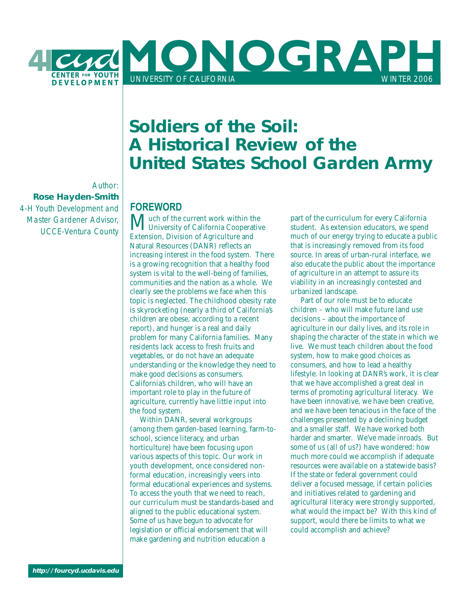

Author: **Rose Hayden-Smith** 4-H Youth Development and Master Gardener Advisor, UCCE-Ventura County

# **Soldiers of the Soil: A Historical Review of the United States School Garden Army**

# **FOREWORD**

**Much of the current work within the**<br>University of California Cooperative Extension, Division of Agriculture and Natural Resources (DANR) reflects an increasing interest in the food system. There is a growing recognition that a healthy food system is vital to the well-being of families, communities and the nation as a whole. We clearly see the problems we face when this topic is neglected. The childhood obesity rate is skyrocketing (nearly a third of California's children are obese, according to a recent report), and hunger is a real and daily problem for many California families. Many residents lack access to fresh fruits and vegetables, or do not have an adequate understanding or the knowledge they need to make good decisions as consumers. California's children, who will have an important role to play in the future of agriculture, currently have little input into the food system.

 Within DANR, several workgroups (among them garden-based learning, farm-toschool, science literacy, and urban horticulture) have been focusing upon various aspects of this topic. Our work in youth development, once considered nonformal education, increasingly veers into formal educational experiences and systems. To access the youth that we need to reach, our curriculum must be standards-based and aligned to the public educational system. Some of us have begun to advocate for legislation or official endorsement that will make gardening and nutrition education a

part of the curriculum for every California student. As extension educators, we spend much of our energy trying to educate a public that is increasingly removed from its food source. In areas of urban-rural interface, we also educate the public about the importance of agriculture in an attempt to assure its viability in an increasingly contested and urbanized landscape.

 Part of our role must be to educate children – who will make future land use decisions – about the importance of agriculture in our daily lives, and its role in shaping the character of the state in which we live. We must teach children about the food system, how to make good choices as consumers, and how to lead a healthy lifestyle. In looking at DANR's work, it is clear that we have accomplished a great deal in terms of promoting agricultural literacy. We have been innovative, we have been creative, and we have been tenacious in the face of the challenges presented by a declining budget and a smaller staff. We have worked both harder and smarter. We've made inroads. But some of us (all of us?) have wondered: how much more could we accomplish if adequate resources were available on a statewide basis? If the state or federal government could deliver a focused message, if certain policies and initiatives related to gardening and agricultural literacy were strongly supported, what would the impact be? With this kind of support, would there be limits to what we could accomplish and achieve?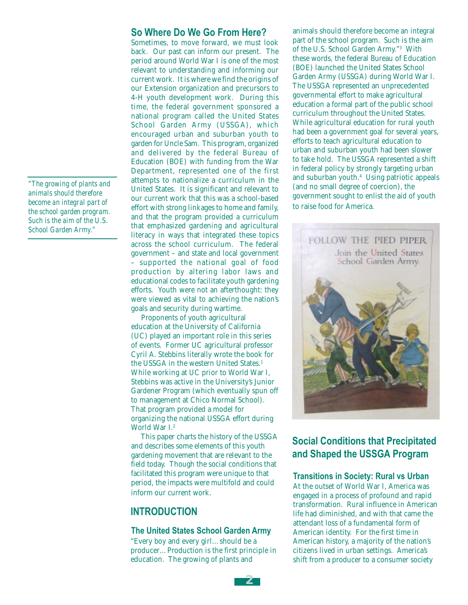*"The growing of plants and animals should therefore become an integral part of the school garden program. Such is the aim of the U.S. School Garden Army."*

### **So Where Do We Go From Here?**

Sometimes, to move forward, we must look back. Our past can inform our present. The period around World War I is one of the most relevant to understanding and informing our current work. It is where we find the origins of our Extension organization and precursors to 4-H youth development work. During this time, the federal government sponsored a national program called the United States School Garden Army (USSGA), which encouraged urban and suburban youth to garden for Uncle Sam. This program, organized and delivered by the federal Bureau of Education (BOE) with funding from the War Department, represented one of the first attempts to nationalize a curriculum in the United States. It is significant and relevant to our current work that this was a school-based effort with strong linkages to home and family, and that the program provided a curriculum that emphasized gardening and agricultural literacy in ways that integrated these topics across the school curriculum. The federal government – and state and local government – supported the national goal of food production by altering labor laws and educational codes to facilitate youth gardening efforts. Youth were not an afterthought: they were viewed as vital to achieving the nation's goals and security during wartime.

 Proponents of youth agricultural education at the University of California (UC) played an important role in this series of events. Former UC agricultural professor Cyril A. Stebbins literally wrote the book for the USSGA in the western United States.<sup>1</sup> While working at UC prior to World War I, Stebbins was active in the University's Junior Gardener Program (which eventually spun off to management at Chico Normal School). That program provided a model for organizing the national USSGA effort during World War I.<sup>2</sup>

 This paper charts the history of the USSGA and describes some elements of this youth gardening movement that are relevant to the field today. Though the social conditions that facilitated this program were unique to that period, the impacts were multifold and could inform our current work.

# **INTRODUCTION**

#### **The United States School Garden Army**

"Every boy and every girl…should be a producer…Production is the first principle in education. The growing of plants and

animals should therefore become an integral part of the school program. Such is the aim of the U.S. School Garden Army."3 With these words, the federal Bureau of Education (BOE) launched the United States School Garden Army (USSGA) during World War I. The USSGA represented an unprecedented governmental effort to make agricultural education a formal part of the public school curriculum throughout the United States. While agricultural education for rural youth had been a government goal for several years, efforts to teach agricultural education to urban and suburban youth had been slower to take hold. The USSGA represented a shift in federal policy by strongly targeting urban and suburban youth.4 Using patriotic appeals (and no small degree of coercion), the government sought to enlist the aid of youth to raise food for America.



# **Social Conditions that Precipitated and Shaped the USSGA Program**

#### **Transitions in Society: Rural vs Urban**

At the outset of World War I, America was engaged in a process of profound and rapid transformation. Rural influence in American life had diminished, and with that came the attendant loss of a fundamental form of American identity. For the first time in American history, a majority of the nation's citizens lived in urban settings. America's shift from a producer to a consumer society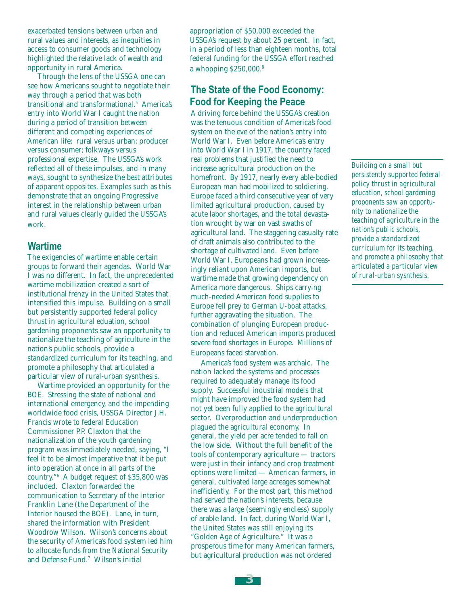exacerbated tensions between urban and rural values and interests, as inequities in access to consumer goods and technology highlighted the relative lack of wealth and opportunity in rural America.

 Through the lens of the USSGA one can see how Americans sought to negotiate their way through a period that was both transitional and transformational.5 America's entry into World War I caught the nation during a period of transition between different and competing experiences of American life: rural versus urban; producer versus consumer; folkways versus professional expertise. The USSGA's work reflected all of these impulses, and in many ways, sought to synthesize the best attributes of apparent opposites. Examples such as this demonstrate that an ongoing Progressive interest in the relationship between urban and rural values clearly guided the USSGA's work.

### **Wartime**

The exigencies of wartime enable certain groups to forward their agendas. World War I was no different. In fact, the unprecedented wartime mobilization created a sort of institutional frenzy in the United States that intensified this impulse. Building on a small but persistently supported federal policy thrust in agricultural eduation, school gardening proponents saw an opportunity to nationalize the teaching of agriculture in the nation's public schools, provide a standardized curriculum for its teaching, and promote a philosophy that articulated a particular view of rural-urban sysnthesis.

 Wartime provided an opportunity for the BOE. Stressing the state of national and international emergency, and the impending worldwide food crisis, USSGA Director J.H. Francis wrote to federal Education Commissioner P.P. Claxton that the nationalization of the youth gardening program was immediately needed, saying, "I feel it to be almost imperative that it be put into operation at once in all parts of the country."6 A budget request of \$35,800 was included. Claxton forwarded the communication to Secretary of the Interior Franklin Lane (the Department of the Interior housed the BOE). Lane, in turn, shared the information with President Woodrow Wilson. Wilson's concerns about the security of America's food system led him to allocate funds from the National Security and Defense Fund.7 Wilson's initial

appropriation of \$50,000 exceeded the USSGA's request by about 25 percent. In fact, in a period of less than eighteen months, total federal funding for the USSGA effort reached a whopping \$250,000.8

# **The State of the Food Economy: Food for Keeping the Peace**

A driving force behind the USSGA's creation was the tenuous condition of America's food system on the eve of the nation's entry into World War I. Even before America's entry into World War I in 1917, the country faced real problems that justified the need to increase agricultural production on the homefront. By 1917, nearly every able-bodied European man had mobilized to soldiering. Europe faced a third consecutive year of very limited agricultural production, caused by acute labor shortages, and the total devastation wrought by war on vast swaths of agricultural land. The staggering casualty rate of draft animals also contributed to the shortage of cultivated land. Even before World War I, Europeans had grown increasingly reliant upon American imports, but wartime made that growing dependency on America more dangerous. Ships carrying much-needed American food supplies to Europe fell prey to German U-boat attacks, further aggravating the situation. The combination of plunging European production and reduced American imports produced severe food shortages in Europe. Millions of Europeans faced starvation.

 America's food system was archaic. The nation lacked the systems and processes required to adequately manage its food supply. Successful industrial models that might have improved the food system had not yet been fully applied to the agricultural sector. Overproduction and underproduction plagued the agricultural economy. In general, the yield per acre tended to fall on the low side. Without the full benefit of the tools of contemporary agriculture — tractors were just in their infancy and crop treatment options were limited — American farmers, in general, cultivated large acreages somewhat inefficiently. For the most part, this method had served the nation's interests, because there was a large (seemingly endless) supply of arable land. In fact, during World War I, the United States was still enjoying its "Golden Age of Agriculture." It was a prosperous time for many American farmers, but agricultural production was not ordered

*Building on a small but persistently supported federal policy thrust in agricultural education, school gardening proponents saw an opportunity to nationalize the teaching of agriculture in the nation's public schools, provide a standardized curriculum for its teaching, and promote a philosophy that articulated a particular view of rural-urban sysnthesis.*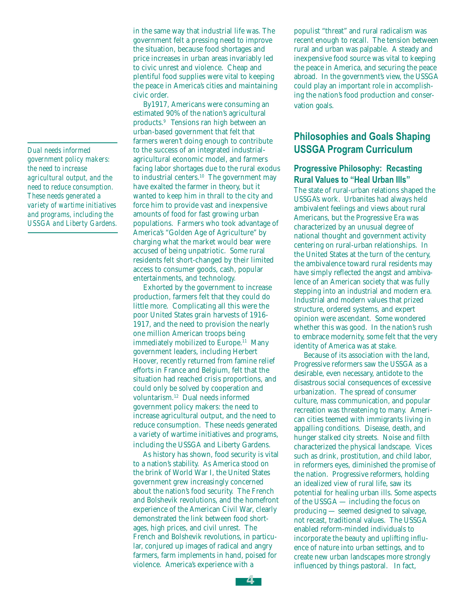*Dual needs informed government policy makers: the need to increase agricultural output, and the need to reduce consumption. These needs generated a variety of wartime initiatives and programs, including the USSGA and Liberty Gardens.* in the same way that industrial life was. The government felt a pressing need to improve the situation, because food shortages and price increases in urban areas invariably led to civic unrest and violence. Cheap and plentiful food supplies were vital to keeping the peace in America's cities and maintaining civic order.

 By1917, Americans were consuming an estimated 90% of the nation's agricultural products.9 Tensions ran high between an urban-based government that felt that farmers weren't doing enough to contribute to the success of an integrated industrialagricultural economic model, and farmers facing labor shortages due to the rural exodus to industrial centers.10 The government may have exalted the farmer in theory, but it wanted to keep him in thrall to the city and force him to provide vast and inexpensive amounts of food for fast growing urban populations. Farmers who took advantage of America's "Golden Age of Agriculture" by charging what the market would bear were accused of being unpatriotic. Some rural residents felt short-changed by their limited access to consumer goods, cash, popular entertainments, and technology.

 Exhorted by the government to increase production, farmers felt that they could do little more. Complicating all this were the poor United States grain harvests of 1916- 1917, and the need to provision the nearly one million American troops being immediately mobilized to Europe.<sup>11</sup> Many government leaders, including Herbert Hoover, recently returned from famine relief efforts in France and Belgium, felt that the situation had reached crisis proportions, and could only be solved by cooperation and voluntarism.12 Dual needs informed government policy makers: the need to increase agricultural output, and the need to reduce consumption. These needs generated a variety of wartime initiatives and programs, including the USSGA and Liberty Gardens.

 As history has shown, food security is vital to a nation's stability. As America stood on the brink of World War I, the United States government grew increasingly concerned about the nation's food security. The French and Bolshevik revolutions, and the homefront experience of the American Civil War, clearly demonstrated the link between food shortages, high prices, and civil unrest. The French and Bolshevik revolutions, in particular, conjured up images of radical and angry farmers, farm implements in hand, poised for violence. America's experience with a

populist "threat" and rural radicalism was recent enough to recall. The tension between rural and urban was palpable. A steady and inexpensive food source was vital to keeping the peace in America, and securing the peace abroad. In the government's view, the USSGA could play an important role in accomplishing the nation's food production and conservation goals.

# **Philosophies and Goals Shaping USSGA Program Curriculum**

# **Progressive Philosophy: Recasting Rural Values to "Heal Urban Ills"**

The state of rural-urban relations shaped the USSGA's work. Urbanites had always held ambivalent feelings and views about rural Americans, but the Progressive Era was characterized by an unusual degree of national thought and government activity centering on rural-urban relationships. In the United States at the turn of the century, the ambivalence toward rural residents may have simply reflected the angst and ambivalence of an American society that was fully stepping into an industrial and modern era. Industrial and modern values that prized structure, ordered systems, and expert opinion were ascendant. Some wondered whether this was good. In the nation's rush to embrace modernity, some felt that the very identity of America was at stake.

 Because of its association with the land, Progressive reformers saw the USSGA as a desirable, even necessary, antidote to the disastrous social consequences of excessive urbanization. The spread of consumer culture, mass communication, and popular recreation was threatening to many. American cities teemed with immigrants living in appalling conditions. Disease, death, and hunger stalked city streets. Noise and filth characterized the physical landscape. Vices such as drink, prostitution, and child labor, in reformers eyes, diminished the promise of the nation. Progressive reformers, holding an idealized view of rural life, saw its potential for healing urban ills. Some aspects of the USSGA — including the focus on producing — seemed designed to salvage, not recast, traditional values. The USSGA enabled reform-minded individuals to incorporate the beauty and uplifting influence of nature into urban settings, and to create new urban landscapes more strongly influenced by things pastoral. In fact,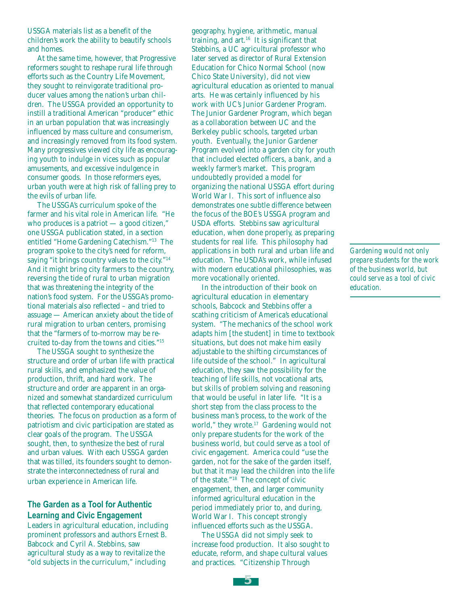USSGA materials list as a benefit of the children's work the ability to beautify schools and homes.

 At the same time, however, that Progressive reformers sought to reshape rural life through efforts such as the Country Life Movement, they sought to reinvigorate traditional producer values among the nation's urban children. The USSGA provided an opportunity to instill a traditional American "producer" ethic in an urban population that was increasingly influenced by mass culture and consumerism, and increasingly removed from its food system. Many progressives viewed city life as encouraging youth to indulge in vices such as popular amusements, and excessive indulgence in consumer goods. In those reformers eyes, urban youth were at high risk of falling prey to the evils of urban life.

 The USSGA's curriculum spoke of the farmer and his vital role in American life. "He who produces is a patriot — a good citizen," one USSGA publication stated, in a section entitled "Home Gardening Catechism."13 The program spoke to the city's need for reform, saying "it brings country values to the city."<sup>14</sup> And it might bring city farmers to the country, reversing the tide of rural to urban migration that was threatening the integrity of the nation's food system. For the USSGA's promotional materials also reflected – and tried to assuage — American anxiety about the tide of rural migration to urban centers, promising that the "farmers of to-morrow may be recruited to-day from the towns and cities."15

 The USSGA sought to synthesize the structure and order of urban life with practical rural skills, and emphasized the value of production, thrift, and hard work. The structure and order are apparent in an organized and somewhat standardized curriculum that reflected contemporary educational theories. The focus on production as a form of patriotism and civic participation are stated as clear goals of the program. The USSGA sought, then, to synthesize the best of rural and urban values. With each USSGA garden that was tilled, its founders sought to demonstrate the interconnectedness of rural and urban experience in American life.

# **The Garden as a Tool for Authentic Learning and Civic Engagement**

Leaders in agricultural education, including prominent professors and authors Ernest B. Babcock and Cyril A. Stebbins, saw agricultural study as a way to revitalize the "old subjects in the curriculum," including

geography, hygiene, arithmetic, manual training, and art.16 It is significant that Stebbins, a UC agricultural professor who later served as director of Rural Extension Education for Chico Normal School (now Chico State University), did not view agricultural education as oriented to manual arts. He was certainly influenced by his work with UC's Junior Gardener Program. The Junior Gardener Program, which began as a collaboration between UC and the Berkeley public schools, targeted urban youth. Eventually, the Junior Gardener Program evolved into a garden city for youth that included elected officers, a bank, and a weekly farmer's market. This program undoubtedly provided a model for organizing the national USSGA effort during World War I. This sort of influence also demonstrates one subtle difference between the focus of the BOE's USSGA program and USDA efforts. Stebbins saw agricultural education, when done properly, as preparing students for real life. This philosophy had applications in both rural and urban life and education. The USDA's work, while infused with modern educational philosophies, was more vocationally oriented.

 In the introduction of their book on agricultural education in elementary schools, Babcock and Stebbins offer a scathing criticism of America's educational system. "The mechanics of the school work adapts him [the student] in time to textbook situations, but does not make him easily adjustable to the shifting circumstances of life outside of the school." In agricultural education, they saw the possibility for the teaching of life skills, not vocational arts, but skills of problem solving and reasoning that would be useful in later life. "It is a short step from the class process to the business man's process, to the work of the world," they wrote.<sup>17</sup> Gardening would not only prepare students for the work of the business world, but could serve as a tool of civic engagement. America could "use the garden, not for the sake of the garden itself, but that it may lead the children into the life of the state."18 The concept of civic engagement, then, and larger community informed agricultural education in the period immediately prior to, and during, World War I. This concept strongly influenced efforts such as the USSGA.

 The USSGA did not simply seek to increase food production. It also sought to educate, reform, and shape cultural values and practices. "Citizenship Through

*Gardening would not only prepare students for the work of the business world, but could serve as a tool of civic education.*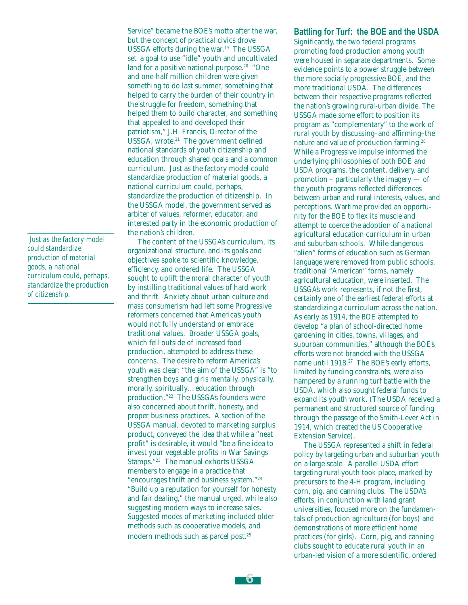*Just as the factory model could standardize production of material goods, a national curriculum could, perhaps, standardize the production of citizenship.*

Service" became the BOE's motto after the war, but the concept of practical civics drove USSGA efforts during the war.<sup>19</sup> The USSGA set<sup>i</sup> a goal to use "idle" youth and uncultivated land for a positive national purpose.<sup>20</sup> "One and one-half million children were given something to do last summer; something that helped to carry the burden of their country in the struggle for freedom, something that helped them to build character, and something that appealed to and developed their patriotism," J.H. Francis, Director of the USSGA, wrote.<sup>21</sup> The government defined national standards of youth citizenship and education through shared goals and a common curriculum. Just as the factory model could standardize production of material goods, a national curriculum could, perhaps, standardize the production of citizenship. In the USSGA model, the government served as arbiter of values, reformer, educator, and interested party in the economic production of the nation's children.

 The content of the USSGA's curriculum, its organizational structure, and its goals and objectives spoke to scientific knowledge, efficiency, and ordered life. The USSGA sought to uplift the moral character of youth by instilling traditional values of hard work and thrift. Anxiety about urban culture and mass consumerism had left some Progressive reformers concerned that America's youth would not fully understand or embrace traditional values. Broader USSGA goals, which fell outside of increased food production, attempted to address these concerns. The desire to reform America's youth was clear: "the aim of the USSGA" is "to strengthen boys and girls mentally, physically, morally, spiritually…education through production."22 The USSGA's founders were also concerned about thrift, honesty, and proper business practices. A section of the USSGA manual, devoted to marketing surplus product, conveyed the idea that while a "neat profit" is desirable, it would "be a fine idea to invest your vegetable profits in War Savings Stamps."23 The manual exhorts USSGA members to engage in a practice that "encourages thrift and business system."24 "Build up a reputation for yourself for honesty and fair dealing," the manual urged, while also suggesting modern ways to increase sales. Suggested modes of marketing included older methods such as cooperative models, and modern methods such as parcel post.25

#### **Battling for Turf: the BOE and the USDA**

Significantly, the two federal programs promoting food production among youth were housed in separate departments. Some evidence points to a power struggle between the more socially progressive BOE, and the more traditional USDA. The differences between their respective programs reflected the nation's growing rural-urban divide. The USSGA made some effort to position its program as "complementary" to the work of rural youth by discussing–and affirming–the nature and value of production farming.<sup>26</sup> While a Progressive impulse informed the underlying philosophies of both BOE and USDA programs, the content, delivery, and promotion – particularly the imagery — of the youth programs reflected differences between urban and rural interests, values, and perceptions. Wartime provided an opportunity for the BOE to flex its muscle and attempt to coerce the adoption of a national agricultural education curriculum in urban and suburban schools. While dangerous "alien" forms of education such as German language were removed from public schools, traditional "American" forms, namely agricultural education, were inserted. The USSGA's work represents, if not the first, certainly one of the earliest federal efforts at standardizing a curriculum across the nation. As early as 1914, the BOE attempted to develop "a plan of school-directed home gardening in cities, towns, villages, and suburban communities," although the BOE's efforts were not branded with the USSGA name until 1918.27 The BOE's early efforts, limited by funding constraints, were also hampered by a running turf battle with the USDA, which also sought federal funds to expand its youth work. (The USDA received a permanent and structured source of funding through the passage of the Smith-Lever Act in 1914, which created the US Cooperative Extension Service).

 The USSGA represented a shift in federal policy by targeting urban and suburban youth on a large scale. A parallel USDA effort targeting rural youth took place, marked by precursors to the 4-H program, including corn, pig, and canning clubs. The USDA's efforts, in conjunction with land grant universities, focused more on the fundamentals of production agriculture (for boys) and demonstrations of more efficient home practices (for girls). Corn, pig, and canning clubs sought to educate rural youth in an urban-led vision of a more scientific, ordered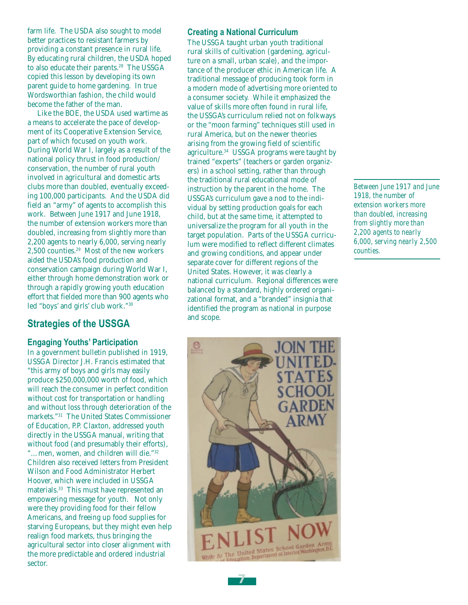farm life. The USDA also sought to model better practices to resistant farmers by providing a constant presence in rural life. By educating rural children, the USDA hoped to also educate their parents.<sup>28</sup> The USSGA copied this lesson by developing its own parent guide to home gardening. In true Wordsworthian fashion, the child would become the father of the man.

 Like the BOE, the USDA used wartime as a means to accelerate the pace of development of its Cooperative Extension Service, part of which focused on youth work. During World War I, largely as a result of the national policy thrust in food production/ conservation, the number of rural youth involved in agricultural and domestic arts clubs more than doubled, eventually exceeding 100,000 participants. And the USDA did field an "army" of agents to accomplish this work. Between June 1917 and June 1918, the number of extension workers more than doubled, increasing from slightly more than 2,200 agents to nearly 6,000, serving nearly 2,500 counties.29 Most of the new workers aided the USDA's food production and conservation campaign during World War I, either through home demonstration work or through a rapidly growing youth education effort that fielded more than 900 agents who led "boys' and girls' club work."30

# **Strategies of the USSGA**

#### **Engaging Youths' Participation**

In a government bulletin published in 1919, USSGA Director J.H. Francis estimated that "this army of boys and girls may easily produce \$250,000,000 worth of food, which will reach the consumer in perfect condition without cost for transportation or handling and without loss through deterioration of the markets."31 The United States Commissioner of Education, P.P. Claxton, addressed youth directly in the USSGA manual, writing that without food (and presumably their efforts), "…men, women, and children will die."32 Children also received letters from President Wilson and Food Administrator Herbert Hoover, which were included in USSGA materials.33 This must have represented an empowering message for youth. Not only were they providing food for their fellow Americans, and freeing up food supplies for starving Europeans, but they might even help realign food markets, thus bringing the agricultural sector into closer alignment with the more predictable and ordered industrial sector.

#### **Creating a National Curriculum**

The USSGA taught urban youth traditional rural skills of cultivation (gardening, agriculture on a small, urban scale), and the importance of the producer ethic in American life. A traditional message of producing took form in a modern mode of advertising more oriented to a consumer society. While it emphasized the value of skills more often found in rural life, the USSGA's curriculum relied not on folkways or the "moon farming" techniques still used in rural America, but on the newer theories arising from the growing field of scientific agriculture.<sup>34</sup> USSGA programs were taught by trained "experts" (teachers or garden organizers) in a school setting, rather than through the traditional rural educational mode of instruction by the parent in the home. The USSGA's curriculum gave a nod to the individual by setting production goals for each child, but at the same time, it attempted to universalize the program for all youth in the target population. Parts of the USSGA curriculum were modified to reflect different climates and growing conditions, and appear under separate cover for different regions of the United States. However, it was clearly a national curriculum. Regional differences were balanced by a standard, highly ordered organizational format, and a "branded" insignia that identified the program as national in purpose and scope.

*Between June 1917 and June 1918, the number of extension workers more than doubled, increasing from slightly more than 2,200 agents to nearly 6,000, serving nearly 2,500 counties.*

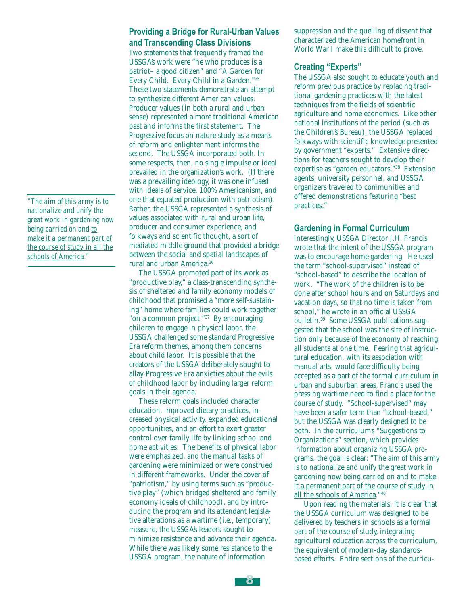*"The aim of this army is to nationalize and unify the great work in gardening now being carried on and to make it a permanent part of the course of study in all the schools of America."*

### **Providing a Bridge for Rural-Urban Values and Transcending Class Divisions**

Two statements that frequently framed the USSGA's work were "he who produces is a patriot– a good citizen" and "A Garden for Every Child. Every Child in a Garden."35 These two statements demonstrate an attempt to synthesize different American values. Producer values (in both a rural and urban sense) represented a more traditional American past and informs the first statement. The Progressive focus on nature study as a means of reform and enlightenment informs the second. The USSGA incorporated both. In some respects, then, no single impulse or ideal prevailed in the organization's work. (If there was a prevailing ideology, it was one infused with ideals of service, 100% Americanism, and one that equated production with patriotism). Rather, the USSGA represented a synthesis of values associated with rural and urban life, producer and consumer experience, and folkways and scientific thought, a sort of mediated middle ground that provided a bridge between the social and spatial landscapes of rural and urban America.36

 The USSGA promoted part of its work as "productive play," a class-transcending synthesis of sheltered and family economy models of childhood that promised a "more self-sustaining" home where families could work together "on a common project."37 By encouraging children to engage in physical labor, the USSGA challenged some standard Progressive Era reform themes, among them concerns about child labor. It is possible that the creators of the USSGA deliberately sought to allay Progressive Era anxieties about the evils of childhood labor by including larger reform goals in their agenda.

 These reform goals included character education, improved dietary practices, increased physical activity, expanded educational opportunities, and an effort to exert greater control over family life by linking school and home activities. The benefits of physical labor were emphasized, and the manual tasks of gardening were minimized or were construed in different frameworks. Under the cover of "patriotism," by using terms such as "productive play" (which bridged sheltered and family economy ideals of childhood), and by introducing the program and its attendant legislative alterations as a wartime (i.e., temporary) measure, the USSGA's leaders sought to minimize resistance and advance their agenda. While there was likely some resistance to the USSGA program, the nature of information

suppression and the quelling of dissent that characterized the American homefront in World War I make this difficult to prove.

#### **Creating "Experts"**

The USSGA also sought to educate youth and reform previous practice by replacing traditional gardening practices with the latest techniques from the fields of scientific agriculture and home economics. Like other national institutions of the period (such as the Children's Bureau), the USSGA replaced folkways with scientific knowledge presented by government "experts." Extensive directions for teachers sought to develop their expertise as "garden educators."38 Extension agents, university personnel, and USSGA organizers traveled to communities and offered demonstrations featuring "best practices."

#### **Gardening in Formal Curriculum**

Interestingly, USSGA Director J.H. Francis wrote that the intent of the USSGA program was to encourage home gardening. He used the term "school-supervised" instead of "school-based" to describe the location of work. "The work of the children is to be done after school hours and on Saturdays and vacation days, so that no time is taken from school," he wrote in an official USSGA bulletin.39 Some USSGA publications suggested that the school was the site of instruction only because of the economy of reaching all students at one time. Fearing that agricultural education, with its association with manual arts, would face difficulty being accepted as a part of the formal curriculum in urban and suburban areas, Francis used the pressing wartime need to find a place for the course of study. "School-supervised" may have been a safer term than "school-based," but the USSGA was clearly designed to be both. In the curriculum's "Suggestions to Organizations" section, which provides information about organizing USSGA programs, the goal is clear: "The aim of this army is to nationalize and unify the great work in gardening now being carried on and to make it a permanent part of the course of study in all the schools of America."40

 Upon reading the materials, it is clear that the USSGA curriculum was designed to be delivered by teachers in schools as a formal part of the course of study, integrating agricultural education across the curriculum, the equivalent of modern-day standardsbased efforts. Entire sections of the curricu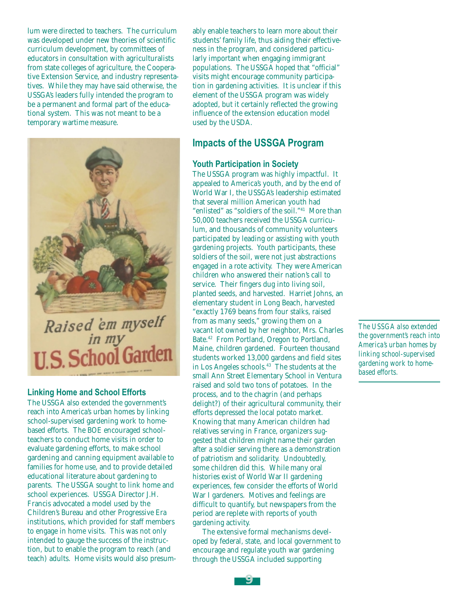lum were directed to teachers. The curriculum was developed under new theories of scientific curriculum development, by committees of educators in consultation with agriculturalists from state colleges of agriculture, the Cooperative Extension Service, and industry representatives. While they may have said otherwise, the USSGA's leaders fully intended the program to be a permanent and formal part of the educational system. This was not meant to be a temporary wartime measure.



### **Linking Home and School Efforts**

The USSGA also extended the government's reach into America's urban homes by linking school-supervised gardening work to homebased efforts. The BOE encouraged schoolteachers to conduct home visits in order to evaluate gardening efforts, to make school gardening and canning equipment available to families for home use, and to provide detailed educational literature about gardening to parents. The USSGA sought to link home and school experiences. USSGA Director J.H. Francis advocated a model used by the Children's Bureau and other Progressive Era institutions, which provided for staff members to engage in home visits. This was not only intended to gauge the success of the instruction, but to enable the program to reach (and teach) adults. Home visits would also presumably enable teachers to learn more about their students' family life, thus aiding their effectiveness in the program, and considered particularly important when engaging immigrant populations. The USSGA hoped that "official" visits might encourage community participation in gardening activities. It is unclear if this element of the USSGA program was widely adopted, but it certainly reflected the growing influence of the extension education model used by the USDA.

# **Impacts of the USSGA Program**

#### **Youth Participation in Society**

The USSGA program was highly impactful. It appealed to America's youth, and by the end of World War I, the USSGA's leadership estimated that several million American youth had "enlisted" as "soldiers of the soil."41 More than 50,000 teachers received the USSGA curriculum, and thousands of community volunteers participated by leading or assisting with youth gardening projects. Youth participants, these soldiers of the soil, were not just abstractions engaged in a rote activity. They were American children who answered their nation's call to service. Their fingers dug into living soil, planted seeds, and harvested. Harriet Johns, an elementary student in Long Beach, harvested "exactly 1769 beans from four stalks, raised from as many seeds," growing them on a vacant lot owned by her neighbor, Mrs. Charles Bate.42 From Portland, Oregon to Portland, Maine, children gardened. Fourteen thousand students worked 13,000 gardens and field sites in Los Angeles schools.43 The students at the small Ann Street Elementary School in Ventura raised and sold two tons of potatoes. In the process, and to the chagrin (and perhaps delight?) of their agricultural community, their efforts depressed the local potato market. Knowing that many American children had relatives serving in France, organizers suggested that children might name their garden after a soldier serving there as a demonstration of patriotism and solidarity. Undoubtedly, some children did this. While many oral histories exist of World War II gardening experiences, few consider the efforts of World War I gardeners. Motives and feelings are difficult to quantify, but newspapers from the period are replete with reports of youth gardening activity.

 The extensive formal mechanisms developed by federal, state, and local government to encourage and regulate youth war gardening through the USSGA included supporting

*The USSGA also extended the government's reach into America's urban homes by linking school-supervised gardening work to homebased efforts.*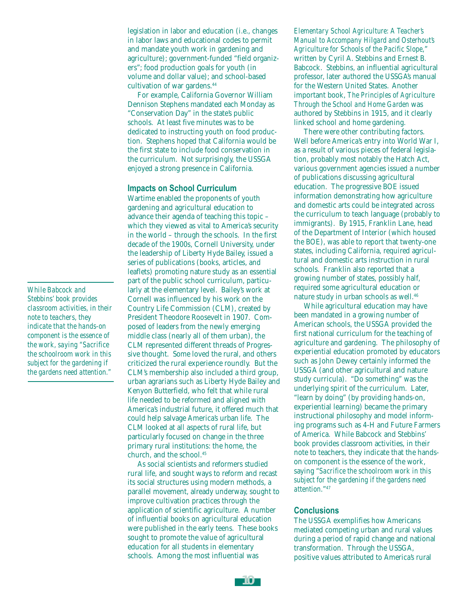legislation in labor and education (i.e., changes in labor laws and educational codes to permit and mandate youth work in gardening and agriculture); government-funded "field organizers"; food production goals for youth (in volume and dollar value); and school-based cultivation of war gardens.<sup>44</sup>

 For example, California Governor William Dennison Stephens mandated each Monday as "Conservation Day" in the state's public schools. At least five minutes was to be dedicated to instructing youth on food production. Stephens hoped that California would be the first state to include food conservation in the curriculum. Not surprisingly, the USSGA enjoyed a strong presence in California.

#### **Impacts on School Curriculum**

Wartime enabled the proponents of youth gardening and agricultural education to advance their agenda of teaching this topic – which they viewed as vital to America's security in the world – through the schools. In the first decade of the 1900s, Cornell University, under the leadership of Liberty Hyde Bailey, issued a series of publications (books, articles, and leaflets) promoting nature study as an essential part of the public school curriculum, particularly at the elementary level. Bailey's work at Cornell was influenced by his work on the Country Life Commission (CLM), created by President Theodore Roosevelt in 1907. Composed of leaders from the newly emerging middle class (nearly all of them urban), the CLM represented different threads of Progressive thought. Some loved the rural, and others criticized the rural experience roundly. But the CLM's membership also included a third group, urban agrarians such as Liberty Hyde Bailey and Kenyon Butterfield, who felt that while rural life needed to be reformed and aligned with America's industrial future, it offered much that could help salvage America's urban life. The CLM looked at all aspects of rural life, but particularly focused on change in the three primary rural institutions: the home, the church, and the school.<sup>45</sup>

 As social scientists and reformers studied rural life, and sought ways to reform and recast its social structures using modern methods, a parallel movement, already underway, sought to improve cultivation practices through the application of scientific agriculture. A number of influential books on agricultural education were published in the early teens. These books sought to promote the value of agricultural education for all students in elementary schools. Among the most influential was

*Elementary School Agriculture: A Teacher's Manual to Accompany Hilgard and Osterhout's Agriculture for Schools of the Pacific Slope*," written by Cyril A. Stebbins and Ernest B. Babcock. Stebbins, an influential agricultural professor, later authored the USSGA's manual for the Western United States. Another important book, *The Principles of Agriculture Through the School and Home Garden* was authored by Stebbins in 1915, and it clearly linked school and home gardening.

 There were other contributing factors. Well before America's entry into World War I, as a result of various pieces of federal legislation, probably most notably the Hatch Act, various government agencies issued a number of publications discussing agricultural education. The progressive BOE issued information demonstrating how agriculture and domestic arts could be integrated across the curriculum to teach language (probably to immigrants). By 1915, Franklin Lane, head of the Department of Interior (which housed the BOE), was able to report that twenty-one states, including California, required agricultural and domestic arts instruction in rural schools. Franklin also reported that a growing number of states, possibly half, required some agricultural education or nature study in urban schools as well.<sup>46</sup>

 While agricultural education may have been mandated in a growing number of American schools, the USSGA provided the first national curriculum for the teaching of agriculture and gardening. The philosophy of experiential education promoted by educators such as John Dewey certainly informed the USSGA (and other agricultural and nature study curricula). "Do something" was the underlying spirit of the curriculum. Later, "learn by doing" (by providing hands-on, experiential learning) became the primary instructional philosophy and model informing programs such as 4-H and Future Farmers of America. While Babcock and Stebbins' book provides classroom activities, in their note to teachers, they indicate that the handson component is the essence of the work, saying "*Sacrifice the schoolroom work in this subject for the gardening if the gardens need attention*."47

#### **Conclusions**

The USSGA exemplifies how Americans mediated competing urban and rural values during a period of rapid change and national transformation. Through the USSGA, positive values attributed to America's rural

*While Babcock and Stebbins' book provides classroom activities, in their note to teachers, they indicate that the hands-on component is the essence of the work, saying "Sacrifice the schoolroom work in this subject for the gardening if the gardens need attention."*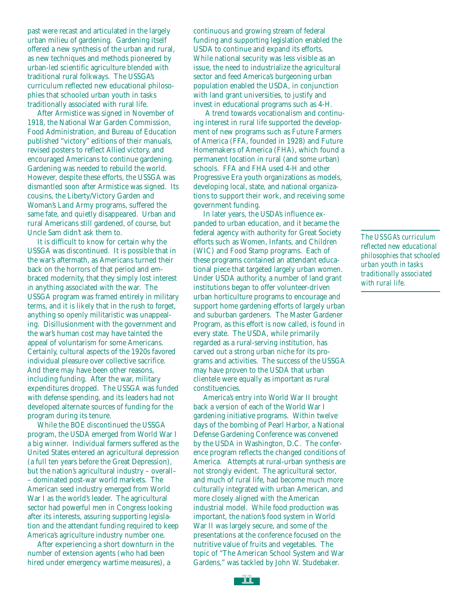past were recast and articulated in the largely urban milieu of gardening. Gardening itself offered a new synthesis of the urban and rural, as new techniques and methods pioneered by urban-led scientific agriculture blended with traditional rural folkways. The USSGA's curriculum reflected new educational philosophies that schooled urban youth in tasks traditionally associated with rural life.

 After Armistice was signed in November of 1918, the National War Garden Commission, Food Administration, and Bureau of Education published "victory" editions of their manuals, revised posters to reflect Allied victory, and encouraged Americans to continue gardening. Gardening was needed to rebuild the world. However, despite these efforts, the USSGA was dismantled soon after Armistice was signed. Its cousins, the Liberty/Victory Garden and Woman's Land Army programs, suffered the same fate, and quietly disappeared. Urban and rural Americans still gardened, of course, but Uncle Sam didn't ask them to.

 It is difficult to know for certain why the USSGA was discontinued. It is possible that in the war's aftermath, as Americans turned their back on the horrors of that period and embraced modernity, that they simply lost interest in anything associated with the war. The USSGA program was framed entirely in military terms, and it is likely that in the rush to forget, anything so openly militaristic was unappealing. Disillusionment with the government and the war's human cost may have tainted the appeal of voluntarism for some Americans. Certainly, cultural aspects of the 1920s favored individual pleasure over collective sacrifice. And there may have been other reasons, including funding. After the war, military expenditures dropped. The USSGA was funded with defense spending, and its leaders had not developed alternate sources of funding for the program during its tenure.

 While the BOE discontinued the USSGA program, the USDA emerged from World War I a big winner. Individual farmers suffered as the United States entered an agricultural depression (a full ten years before the Great Depression), but the nation's agricultural industry – overall– – dominated post-war world markets. The American seed industry emerged from World War I as the world's leader. The agricultural sector had powerful men in Congress looking after its interests, assuring supporting legislation and the attendant funding required to keep America's agriculture industry number one.

 After experiencing a short downturn in the number of extension agents (who had been hired under emergency wartime measures), a

continuous and growing stream of federal funding and supporting legislation enabled the USDA to continue and expand its efforts. While national security was less visible as an issue, the need to industrialize the agricultural sector and feed America's burgeoning urban population enabled the USDA, in conjunction with land grant universities, to justify and invest in educational programs such as 4-H.

 A trend towards vocationalism and continuing interest in rural life supported the development of new programs such as Future Farmers of America (FFA, founded in 1928) and Future Homemakers of America (FHA), which found a permanent location in rural (and some urban) schools. FFA and FHA used 4-H and other Progressive Era youth organizations as models, developing local, state, and national organizations to support their work, and receiving some government funding.

 In later years, the USDA's influence expanded to urban education, and it became the federal agency with authority for Great Society efforts such as Women, Infants, and Children (WIC) and Food Stamp programs. Each of these programs contained an attendant educational piece that targeted largely urban women. Under USDA authority, a number of land grant institutions began to offer volunteer-driven urban horticulture programs to encourage and support home gardening efforts of largely urban and suburban gardeners. The Master Gardener Program, as this effort is now called, is found in every state. The USDA, while primarily regarded as a rural-serving institution, has carved out a strong urban niche for its programs and activities. The success of the USSGA may have proven to the USDA that urban clientele were equally as important as rural constituencies.

 America's entry into World War II brought back a version of each of the World War I gardening initiative programs. Within twelve days of the bombing of Pearl Harbor, a National Defense Gardening Conference was convened by the USDA in Washington, D.C. The conference program reflects the changed conditions of America. Attempts at rural-urban synthesis are not strongly evident. The agricultural sector, and much of rural life, had become much more culturally integrated with urban American, and more closely aligned with the American industrial model. While food production was important, the nation's food system in World War II was largely secure, and some of the presentations at the conference focused on the nutritive value of fruits and vegetables. The topic of "The American School System and War Gardens," was tackled by John W. Studebaker.

*The USSGA's curriculum reflected new educational philosophies that schooled urban youth in tasks traditionally associated with rural life.*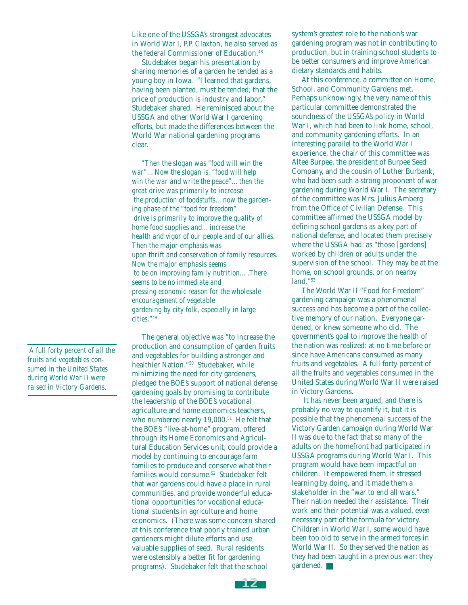Like one of the USSGA's strongest advocates in World War I, P.P. Claxton, he also served as the federal Commissioner of Education.48

 Studebaker began his presentation by sharing memories of a garden he tended as a young boy in Iowa. "I learned that gardens, having been planted, must be tended; that the price of production is industry and labor," Studebaker shared. He reminisced about the USSGA and other World War I gardening efforts, but made the differences between the World War national gardening programs clear.

 *"Then the slogan was "food will win the war"…Now the slogan is, "food will help win the war and write the peace"…then the great drive was primarily to increase the production of foodstuffs…now the gardening phase of the "food for freedom" drive is primarily to improve the quality of home food supplies and…increase the health and vigor of our people and of our allies. Then the major emphasis was upon thrift and conservation of family resources. Now the major emphasis seems to be on improving family nutrition….There seems to be no immediate and pressing economic reason for the wholesale encouragement of vegetable gardening by city folk, especially in large cities."49*

 *A full forty percent of all the fruits and vegetables consumed in the United States during World War II were raised in Victory Gardens.*

 The general objective was "to increase the production and consumption of garden fruits and vegetables for building a stronger and healthier Nation."50 Studebaker, while minimizing the need for city gardeners, pledged the BOE's support of national defense gardening goals by promising to contribute the leadership of the BOE's vocational agriculture and home economics teachers, who numbered nearly 19,000.<sup>51</sup> He felt that the BOE's "live-at-home" program, offered through its Home Economics and Agricultural Education Services unit, could provide a model by continuing to encourage farm families to produce and conserve what their families would consume.52 Studebaker felt that war gardens could have a place in rural communities, and provide wonderful educational opportunities for vocational educational students in agriculture and home economics. (There was some concern shared at this conference that poorly trained urban gardeners might dilute efforts and use valuable supplies of seed. Rural residents were ostensibly a better fit for gardening programs). Studebaker felt that the school

system's greatest role to the nation's war gardening program was not in contributing to production, but in training school students to be better consumers and improve American dietary standards and habits.

 At this conference, a committee on Home, School, and Community Gardens met. Perhaps unknowingly, the very name of this particular committee demonstrated the soundness of the USSGA's policy in World War I, which had been to link home, school, and community gardening efforts. In an interesting parallel to the World War I experience, the chair of this committee was Altee Burpee, the president of Burpee Seed Company, and the cousin of Luther Burbank, who had been such a strong proponent of war gardening during World War I. The secretary of the committee was Mrs. Julius Amberg from the Office of Civilian Defense. This committee affirmed the USSGA model by defining school gardens as a key part of national defense, and located them precisely where the USSGA had: as "those [gardens] worked by children or adults under the supervision of the school. They may be at the home, on school grounds, or on nearby land."53

 The World War II "Food for Freedom" gardening campaign was a phenomenal success and has become a part of the collective memory of our nation. Everyone gardened, or knew someone who did. The government's goal to improve the health of the nation was realized: at no time before or since have Americans consumed as many fruits and vegetables. A full forty percent of all the fruits and vegetables consumed in the United States during World War II were raised in Victory Gardens.

 It has never been argued, and there is probably no way to quantify it, but it is possible that the phenomenal success of the Victory Garden campaign during World War II was due to the fact that so many of the adults on the homefront had participated in USSGA programs during World War I. This program would have been impactful on children. It empowered them, it stressed learning by doing, and it made them a stakeholder in the "war to end all wars." Their nation needed their assistance. Their work and their potential was a valued, even necessary part of the formula for victory. Children in World War I, some would have been too old to serve in the armed forces in World War II. So they served the nation as they had been taught in a previous war: they gardened.

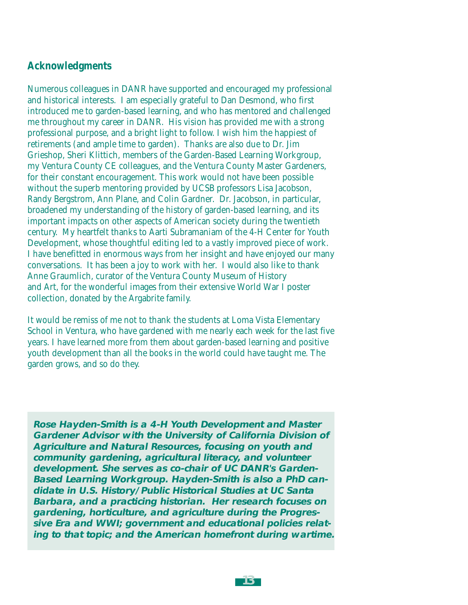# **Acknowledgments**

Numerous colleagues in DANR have supported and encouraged my professional and historical interests. I am especially grateful to Dan Desmond, who first introduced me to garden-based learning, and who has mentored and challenged me throughout my career in DANR. His vision has provided me with a strong professional purpose, and a bright light to follow. I wish him the happiest of retirements (and ample time to garden). Thanks are also due to Dr. Jim Grieshop, Sheri Klittich, members of the Garden-Based Learning Workgroup, my Ventura County CE colleagues, and the Ventura County Master Gardeners, for their constant encouragement. This work would not have been possible without the superb mentoring provided by UCSB professors Lisa Jacobson, Randy Bergstrom, Ann Plane, and Colin Gardner. Dr. Jacobson, in particular, broadened my understanding of the history of garden-based learning, and its important impacts on other aspects of American society during the twentieth century. My heartfelt thanks to Aarti Subramaniam of the 4-H Center for Youth Development, whose thoughtful editing led to a vastly improved piece of work. I have benefitted in enormous ways from her insight and have enjoyed our many conversations. It has been a joy to work with her. I would also like to thank Anne Graumlich, curator of the Ventura County Museum of History and Art, for the wonderful images from their extensive World War I poster collection, donated by the Argabrite family.

It would be remiss of me not to thank the students at Loma Vista Elementary School in Ventura, who have gardened with me nearly each week for the last five years. I have learned more from them about garden-based learning and positive youth development than all the books in the world could have taught me. The garden grows, and so do they.

**Rose Hayden-Smith is a 4-H Youth Development and Master Gardener Advisor with the University of California Division of Agriculture and Natural Resources, focusing on youth and community gardening, agricultural literacy, and volunteer development. She serves as co-chair of UC DANR's Garden-Based Learning Workgroup. Hayden-Smith is also a PhD candidate in U.S. History/Public Historical Studies at UC Santa Barbara, and a practicing historian. Her research focuses on gardening, horticulture, and agriculture during the Progressive Era and WWI; government and educational policies relating to that topic; and the American homefront during wartime.**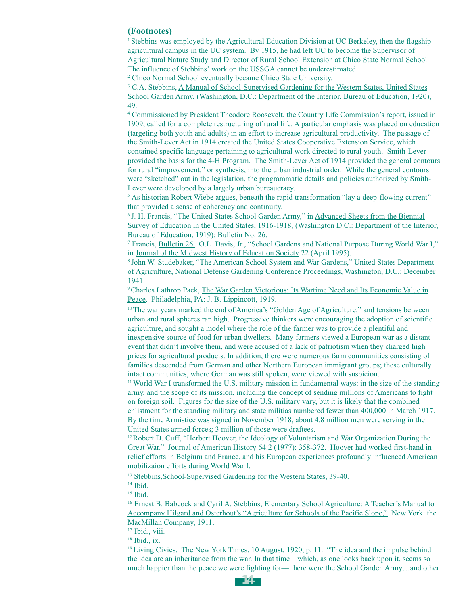#### **(Footnotes)**

1 Stebbins was employed by the Agricultural Education Division at UC Berkeley, then the flagship agricultural campus in the UC system. By 1915, he had left UC to become the Supervisor of Agricultural Nature Study and Director of Rural School Extension at Chico State Normal School. The influence of Stebbins' work on the USSGA cannot be underestimated.

2 Chico Normal School eventually became Chico State University.

<sup>3</sup> C.A. Stebbins, <u>A Manual of School-Supervised Gardening</u> for the Western States, United States School Garden Army, (Washington, D.C.: Department of the Interior, Bureau of Education, 1920), 49.

4 Commissioned by President Theodore Roosevelt, the Country Life Commission's report, issued in 1909, called for a complete restructuring of rural life. A particular emphasis was placed on education (targeting both youth and adults) in an effort to increase agricultural productivity. The passage of the Smith-Lever Act in 1914 created the United States Cooperative Extension Service, which contained specific language pertaining to agricultural work directed to rural youth. Smith-Lever provided the basis for the 4-H Program. The Smith-Lever Act of 1914 provided the general contours for rural "improvement," or synthesis, into the urban industrial order. While the general contours were "sketched" out in the legislation, the programmatic details and policies authorized by Smith-Lever were developed by a largely urban bureaucracy.

<sup>5</sup> As historian Robert Wiebe argues, beneath the rapid transformation "lay a deep-flowing current" that provided a sense of coherency and continuity.

6 J. H. Francis, "The United States School Garden Army," in Advanced Sheets from the Biennial Survey of Education in the United States, 1916-1918, (Washington D.C.: Department of the Interior, Bureau of Education, 1919): Bulletin No. 26.

7 Francis, Bulletin 26. O.L. Davis, Jr., "School Gardens and National Purpose During World War I," in Journal of the Midwest History of Education Society 22 (April 1995).

8 John W. Studebaker, "The American School System and War Gardens," United States Department of Agriculture, National Defense Gardening Conference Proceedings, Washington, D.C.: December 1941.

<sup>9</sup> Charles Lathrop Pack, The War Garden Victorious: Its Wartime Need and Its Economic Value in Peace. Philadelphia, PA: J. B. Lippincott, 1919.

 $10$  The war years marked the end of America's "Golden Age of Agriculture," and tensions between urban and rural spheres ran high. Progressive thinkers were encouraging the adoption of scientific agriculture, and sought a model where the role of the farmer was to provide a plentiful and inexpensive source of food for urban dwellers. Many farmers viewed a European war as a distant event that didn't involve them, and were accused of a lack of patriotism when they charged high prices for agricultural products. In addition, there were numerous farm communities consisting of families descended from German and other Northern European immigrant groups; these culturally intact communities, where German was still spoken, were viewed with suspicion.

11 World War I transformed the U.S. military mission in fundamental ways: in the size of the standing army, and the scope of its mission, including the concept of sending millions of Americans to fight on foreign soil. Figures for the size of the U.S. military vary, but it is likely that the combined enlistment for the standing military and state militias numbered fewer than 400,000 in March 1917. By the time Armistice was signed in November 1918, about 4.8 million men were serving in the United States armed forces; 3 million of those were draftees.

 $12$ Robert D. Cuff, "Herbert Hoover, the Ideology of Voluntarism and War Organization During the Great War." Journal of American History 64:2 (1977): 358-372. Hoover had worked first-hand in relief efforts in Belgium and France, and his European experiences profoundly influenced American mobilizaion efforts during World War I.

<sup>13</sup> Stebbins, School-Supervised Gardening for the Western States, 39-40.

<sup>14</sup> Ibid.

<sup>15</sup> Ibid.

<sup>16</sup> Ernest B. Babcock and Cyril A. Stebbins, *Elementary School Agriculture: A Teacher's Manual to* Accompany Hilgard and Osterhout's "Agriculture for Schools of the Pacific Slope," New York: the MacMillan Company, 1911.

<sup>17</sup> Ibid., viii.

 $18$  Ibid., ix.

<sup>19</sup> Living Civics. The New York Times, 10 August, 1920, p. 11. "The idea and the impulse behind the idea are an inheritance from the war. In that time – which, as one looks back upon it, seems so much happier than the peace we were fighting for— there were the School Garden Army…and other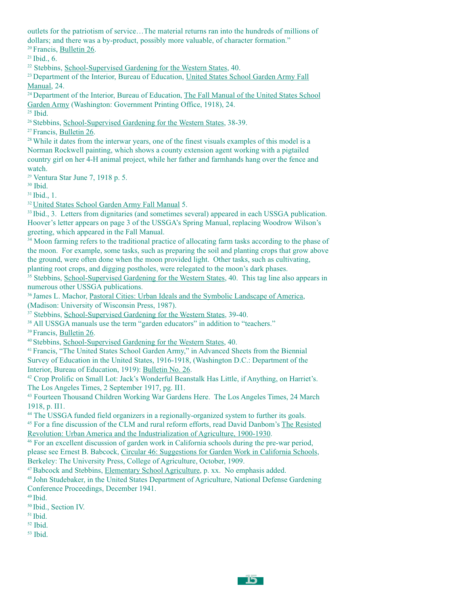outlets for the patriotism of service…The material returns ran into the hundreds of millions of dollars; and there was a by-product, possibly more valuable, of character formation." <sup>20</sup> Francis, Bulletin 26.

21 Ibid., 6.

<sup>22</sup> Stebbins, School-Supervised Gardening for the Western States, 40.

<sup>23</sup> Department of the Interior, Bureau of Education, United States School Garden Army Fall Manual, 24.

<sup>24</sup> Department of the Interior, Bureau of Education, The Fall Manual of the United States School Garden Army (Washington: Government Printing Office, 1918), 24.

 $25$  Ibid.

26 Stebbins, School-Supervised Gardening for the Western States, 38-39.

<sup>27</sup> Francis, Bulletin 26.

<sup>28</sup> While it dates from the interwar years, one of the finest visuals examples of this model is a Norman Rockwell painting, which shows a county extension agent working with a pigtailed country girl on her 4-H animal project, while her father and farmhands hang over the fence and watch.

<sup>29</sup> Ventura Star June 7, 1918 p. 5.

30 Ibid.

31 Ibid., 1.

<sup>32</sup> United States School Garden Army Fall Manual 5.

<sup>33</sup> Ibid., 3. Letters from dignitaries (and sometimes several) appeared in each USSGA publication. Hoover's letter appears on page 3 of the USSGA's Spring Manual, replacing Woodrow Wilson's greeting, which appeared in the Fall Manual.

<sup>34</sup> Moon farming refers to the traditional practice of allocating farm tasks according to the phase of the moon. For example, some tasks, such as preparing the soil and planting crops that grow above the ground, were often done when the moon provided light. Other tasks, such as cultivating,

planting root crops, and digging postholes, were relegated to the moon's dark phases.

<sup>35</sup> Stebbins, School-Supervised Gardening for the Western States, 40. This tag line also appears in numerous other USSGA publications.

36 James L. Machor, Pastoral Cities: Urban Ideals and the Symbolic Landscape of America, (Madison: University of Wisconsin Press, 1987).

<sup>37</sup> Stebbins, School-Supervised Gardening for the Western States, 39-40.

<sup>38</sup> All USSGA manuals use the term "garden educators" in addition to "teachers."

39 Francis, Bulletin 26.

40 Stebbins, School-Supervised Gardening for the Western States, 40.

41 Francis, "The United States School Garden Army," in Advanced Sheets from the Biennial Survey of Education in the United States, 1916-1918, (Washington D.C.: Department of the Interior, Bureau of Education, 1919): Bulletin No. 26.

42 Crop Prolific on Small Lot: Jack's Wonderful Beanstalk Has Little, if Anything, on Harriet's. The Los Angeles Times, 2 September 1917, pg. II1.

43 Fourteen Thousand Children Working War Gardens Here. The Los Angeles Times, 24 March 1918, p. II1.

44 The USSGA funded field organizers in a regionally-organized system to further its goals.

45 For a fine discussion of the CLM and rural reform efforts, read David Danbom's The Resisted Revolution: Urban America and the Industrialization of Agriculture, 1900-1930.

46 For an excellent discussion of garden work in California schools during the pre-war period, please see Ernest B. Babcock, Circular 46: Suggestions for Garden Work in California Schools, Berkeley: The University Press, College of Agriculture, October, 1909.

47 Babcock and Stebbins, Elementary School Agriculture, p. xx. No emphasis added.

48 John Studebaker, in the United States Department of Agriculture, National Defense Gardening Conference Proceedings, December 1941.

 $49$  Ibid.

50 Ibid., Section IV.

 $51$  Ibid.

52 Ibid.

53 Ibid.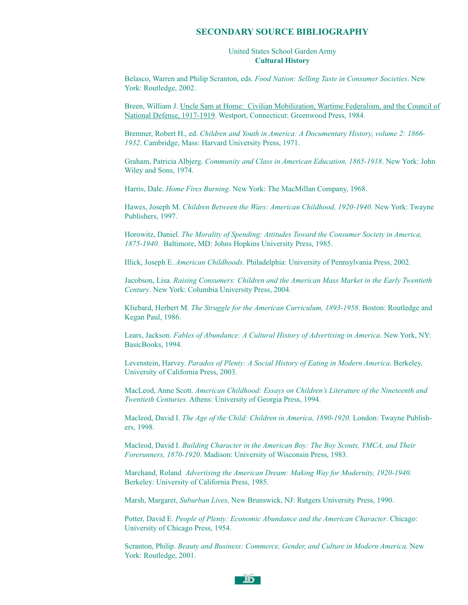#### **SECONDARY SOURCE BIBLIOGRAPHY**

#### United States School Garden Army **Cultural History**

Belasco, Warren and Philip Scranton, eds. *Food Nation: Selling Taste in Consumer Societies*. New York: Routledge, 2002.

Breen, William J. Uncle Sam at Home: Civilian Mobilization, Wartime Federalism, and the Council of National Defense, 1917-1919. Westport, Connecticut: Greenwood Press, 1984.

Bremner, Robert H., ed. *Children and Youth in America: A Documentary History, volume 2: 1866- 1932*. Cambridge, Mass: Harvard University Press, 1971.

Graham, Patricia Albjerg. *Community and Class in American Education, 1865-1918*. New York: John Wiley and Sons, 1974.

Harris, Dale. *Home Fires Burning*. New York: The MacMillan Company, 1968.

Hawes, Joseph M. *Children Between the Wars: American Childhood, 1920-1940*. New York: Twayne Publishers, 1997.

Horowitz, Daniel. *The Morality of Spending: Attitudes Toward the Consumer Society in America, 1875-1940*. Baltimore, MD: Johns Hopkins University Press, 1985.

Illick, Joseph E. *American Childhoods*. Philadelphia: University of Pennsylvania Press, 2002.

Jacobson, Lisa. *Raising Consumers: Children and the American Mass Market in the Early Twentieth Century*. New York: Columbia University Press, 2004.

Kliebard, Herbert M. *The Struggle for the American Curriculum, 1893-1958*. Boston: Routledge and Kegan Paul, 1986.

Lears, Jackson. *Fables of Abundance: A Cultural History of Advertising in America*. New York, NY: BasicBooks, 1994.

Levenstein, Harvey. *Paradox of Plenty: A Social History of Eating in Modern America*. Berkeley, University of California Press, 2003.

MacLeod, Anne Scott. *American Childhood: Essays on Children's Literature of the Nineteenth and Twentieth Centuries.* Athens: University of Georgia Press, 1994.

Macleod, David I. *The Age of the Child: Children in America, 1890-1920*. London: Twayne Publishers, 1998.

Macleod, David I. *Building Character in the American Boy: The Boy Scouts, YMCA, and Their Forerunners, 1870-1920*. Madison: University of Wisconsin Press, 1983.

Marchand, Roland *Advertising the American Dream: Making Way for Modernity, 1920-1940*. Berkeley: University of California Press, 1985.

Marsh, Margaret, *Suburban Lives*, New Brunswick, NJ: Rutgers University Press, 1990.

Potter, David E. *People of Plenty: Economic Abundance and the American Character*. Chicago: University of Chicago Press, 1954.

Scranton, Philip. *Beauty and Business: Commerce, Gender, and Culture in Modern America*. New York: Routledge, 2001.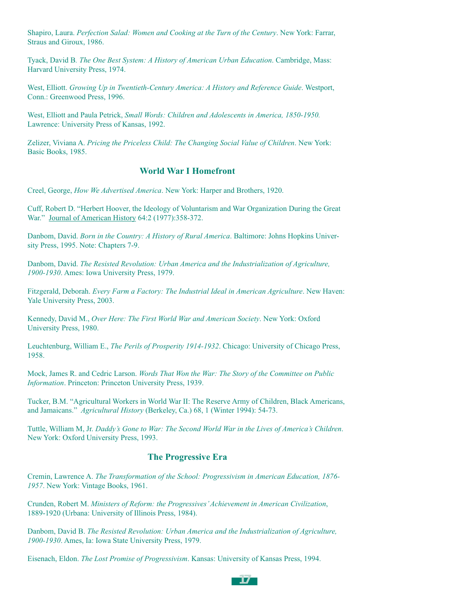Shapiro, Laura. *Perfection Salad: Women and Cooking at the Turn of the Century*. New York: Farrar, Straus and Giroux, 1986.

Tyack, David B*. The One Best System: A History of American Urban Education*. Cambridge, Mass: Harvard University Press, 1974.

West, Elliott. *Growing Up in Twentieth-Century America: A History and Reference Guide*. Westport, Conn.: Greenwood Press, 1996.

West, Elliott and Paula Petrick, *Small Words: Children and Adolescents in America, 1850-1950.* Lawrence: University Press of Kansas, 1992.

Zelizer, Viviana A. *Pricing the Priceless Child: The Changing Social Value of Children*. New York: Basic Books, 1985.

#### **World War I Homefront**

Creel, George, *How We Advertised America*. New York: Harper and Brothers, 1920.

Cuff, Robert D. "Herbert Hoover, the Ideology of Voluntarism and War Organization During the Great War." Journal of American History 64:2 (1977):358-372.

Danbom, David. *Born in the Country: A History of Rural America*. Baltimore: Johns Hopkins University Press, 1995. Note: Chapters 7-9.

Danbom, David. *The Resisted Revolution: Urban America and the Industrialization of Agriculture, 1900-1930*. Ames: Iowa University Press, 1979.

Fitzgerald, Deborah. *Every Farm a Factory: The Industrial Ideal in American Agriculture*. New Haven: Yale University Press, 2003.

Kennedy, David M., *Over Here: The First World War and American Society*. New York: Oxford University Press, 1980.

Leuchtenburg, William E., *The Perils of Prosperity 1914-1932*. Chicago: University of Chicago Press, 1958.

Mock, James R. and Cedric Larson. *Words That Won the War: The Story of the Committee on Public Information*. Princeton: Princeton University Press, 1939.

Tucker, B.M. "Agricultural Workers in World War II: The Reserve Army of Children, Black Americans, and Jamaicans." *Agricultural History* (Berkeley, Ca.) 68, 1 (Winter 1994): 54-73.

Tuttle, William M, Jr. *Daddy's Gone to War: The Second World War in the Lives of America's Children*. New York: Oxford University Press, 1993.

#### **The Progressive Era**

Cremin, Lawrence A. *The Transformation of the School: Progressivism in American Education, 1876- 1957*. New York: Vintage Books, 1961.

Crunden, Robert M. *Ministers of Reform: the Progressives' Achievement in American Civilization*, 1889-1920 (Urbana: University of Illinois Press, 1984).

Danbom, David B. *The Resisted Revolution: Urban America and the Industrialization of Agriculture, 1900-1930*. Ames, Ia: Iowa State University Press, 1979.

Eisenach, Eldon. *The Lost Promise of Progressivism*. Kansas: University of Kansas Press, 1994.

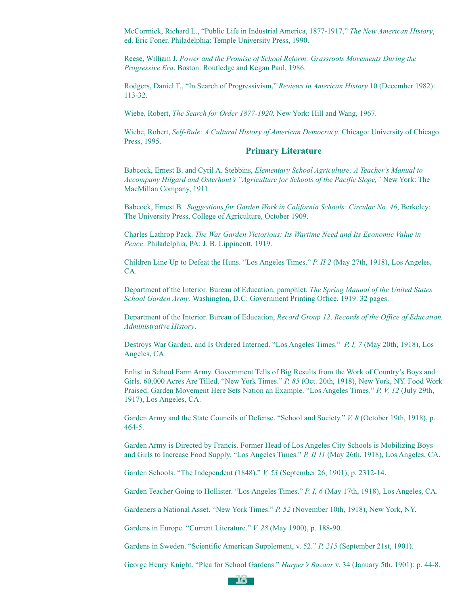McCormick, Richard L., "Public Life in Industrial America, 1877-1917," *The New American History*, ed. Eric Foner. Philadelphia: Temple University Press, 1990.

Reese, William J. *Power and the Promise of School Reform: Grassroots Movements During the Progressive Era*. Boston: Routledge and Kegan Paul, 1986.

Rodgers, Daniel T., "In Search of Progressivism," *Reviews in American History* 10 (December 1982): 113-32.

Wiebe, Robert, *The Search for Order 1877-1920*. New York: Hill and Wang, 1967.

Wiebe, Robert, *Self-Rule: A Cultural History of American Democracy*. Chicago: University of Chicago Press, 1995.

#### **Primary Literature**

Babcock, Ernest B. and Cyril A. Stebbins, *Elementary School Agriculture: A Teacher's Manual to Accompany Hilgard and Osterhout's "Agriculture for Schools of the Pacific Slope,"* New York: The MacMillan Company, 1911.

Babcock, Ernest B*. Suggestions for Garden Work in California Schools: Circular No. 46*, Berkeley: The University Press, College of Agriculture, October 1909.

Charles Lathrop Pack. *The War Garden Victorious: Its Wartime Need and Its Economic Value in Peace*. Philadelphia, PA: J. B. Lippincott, 1919.

Children Line Up to Defeat the Huns. "Los Angeles Times." *P. II 2* (May 27th, 1918), Los Angeles, CA.

Department of the Interior. Bureau of Education, pamphlet. *The Spring Manual of the United States School Garden Army*. Washington, D.C: Government Printing Office, 1919. 32 pages.

Department of the Interior. Bureau of Education, *Record Group 12*. *Records of the Office of Education, Administrative History*.

Destroys War Garden, and Is Ordered Interned. "Los Angeles Times." *P. I, 7* (May 20th, 1918), Los Angeles, CA.

Enlist in School Farm Army. Government Tells of Big Results from the Work of Country's Boys and Girls. 60,000 Acres Are Tilled. "New York Times." *P. 85* (Oct. 20th, 1918), New York, NY. Food Work Praised. Garden Movement Here Sets Nation an Example. "Los Angeles Times." *P. V, 12* (July 29th, 1917), Los Angeles, CA.

Garden Army and the State Councils of Defense. "School and Society." *V. 8* (October 19th, 1918), p. 464-5.

Garden Army is Directed by Francis. Former Head of Los Angeles City Schools is Mobilizing Boys and Girls to Increase Food Supply. "Los Angeles Times." *P. II 11* (May 26th, 1918), Los Angeles, CA.

Garden Schools. "The Independent (1848)." *V, 53* (September 26, 1901), p. 2312-14.

Garden Teacher Going to Hollister. "Los Angeles Times." *P. I, 6* (May 17th, 1918), Los Angeles, CA.

Gardeners a National Asset. "New York Times." *P. 52* (November 10th, 1918), New York, NY.

Gardens in Europe. "Current Literature." *V. 28* (May 1900), p. 188-90.

Gardens in Sweden. "Scientific American Supplement, v. 52." *P. 215* (September 21st, 1901).

George Henry Knight. "Plea for School Gardens." *Harper's Bazaar* v. 34 (January 5th, 1901): p. 44-8.

**18**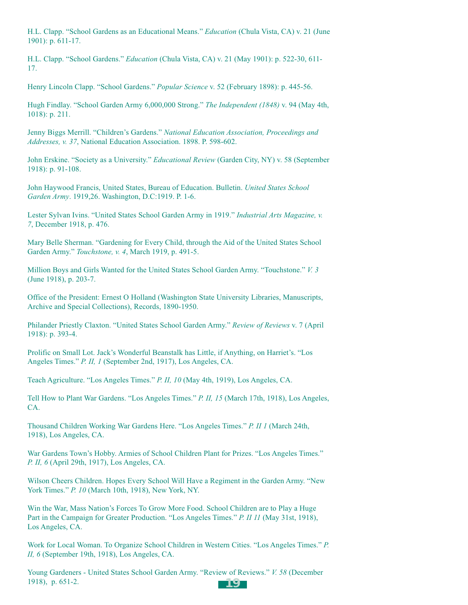H.L. Clapp. "School Gardens as an Educational Means." *Education* (Chula Vista, CA) v. 21 (June 1901): p. 611-17.

H.L. Clapp. "School Gardens." *Education* (Chula Vista, CA) v. 21 (May 1901): p. 522-30, 611- 17.

Henry Lincoln Clapp. "School Gardens." *Popular Science* v. 52 (February 1898): p. 445-56.

Hugh Findlay. "School Garden Army 6,000,000 Strong." *The Independent (1848)* v. 94 (May 4th, 1018): p. 211.

Jenny Biggs Merrill. "Children's Gardens." *National Education Association, Proceedings and Addresses, v. 37*, National Education Association. 1898. P. 598-602.

John Erskine. "Society as a University." *Educational Review* (Garden City, NY) v. 58 (September 1918): p. 91-108.

John Haywood Francis, United States, Bureau of Education. Bulletin. *United States School Garden Army*. 1919,26. Washington, D.C:1919. P. 1-6.

Lester Sylvan Ivins. "United States School Garden Army in 1919." *Industrial Arts Magazine, v. 7*, December 1918, p. 476.

Mary Belle Sherman. "Gardening for Every Child, through the Aid of the United States School Garden Army." *Touchstone, v. 4*, March 1919, p. 491-5.

Million Boys and Girls Wanted for the United States School Garden Army. "Touchstone." *V. 3* (June 1918), p. 203-7.

Office of the President: Ernest O Holland (Washington State University Libraries, Manuscripts, Archive and Special Collections), Records, 1890-1950.

Philander Priestly Claxton. "United States School Garden Army." *Review of Reviews* v. 7 (April 1918): p. 393-4.

Prolific on Small Lot. Jack's Wonderful Beanstalk has Little, if Anything, on Harriet's. "Los Angeles Times." *P. II, 1* (September 2nd, 1917), Los Angeles, CA.

Teach Agriculture. "Los Angeles Times." *P. II, 10* (May 4th, 1919), Los Angeles, CA.

Tell How to Plant War Gardens. "Los Angeles Times." *P. II, 15* (March 17th, 1918), Los Angeles, CA.

Thousand Children Working War Gardens Here. "Los Angeles Times." *P. II 1* (March 24th, 1918), Los Angeles, CA.

War Gardens Town's Hobby. Armies of School Children Plant for Prizes. "Los Angeles Times." *P. II, 6* (April 29th, 1917), Los Angeles, CA.

Wilson Cheers Children. Hopes Every School Will Have a Regiment in the Garden Army. "New York Times." *P. 10* (March 10th, 1918), New York, NY.

Win the War, Mass Nation's Forces To Grow More Food. School Children are to Play a Huge Part in the Campaign for Greater Production. "Los Angeles Times." *P. II 11* (May 31st, 1918), Los Angeles, CA.

Work for Local Woman. To Organize School Children in Western Cities. "Los Angeles Times." *P. II, 6* (September 19th, 1918), Los Angeles, CA.

Young Gardeners - United States School Garden Army. "Review of Reviews." *V. 58* (December 1918), p. 651-2. **19**